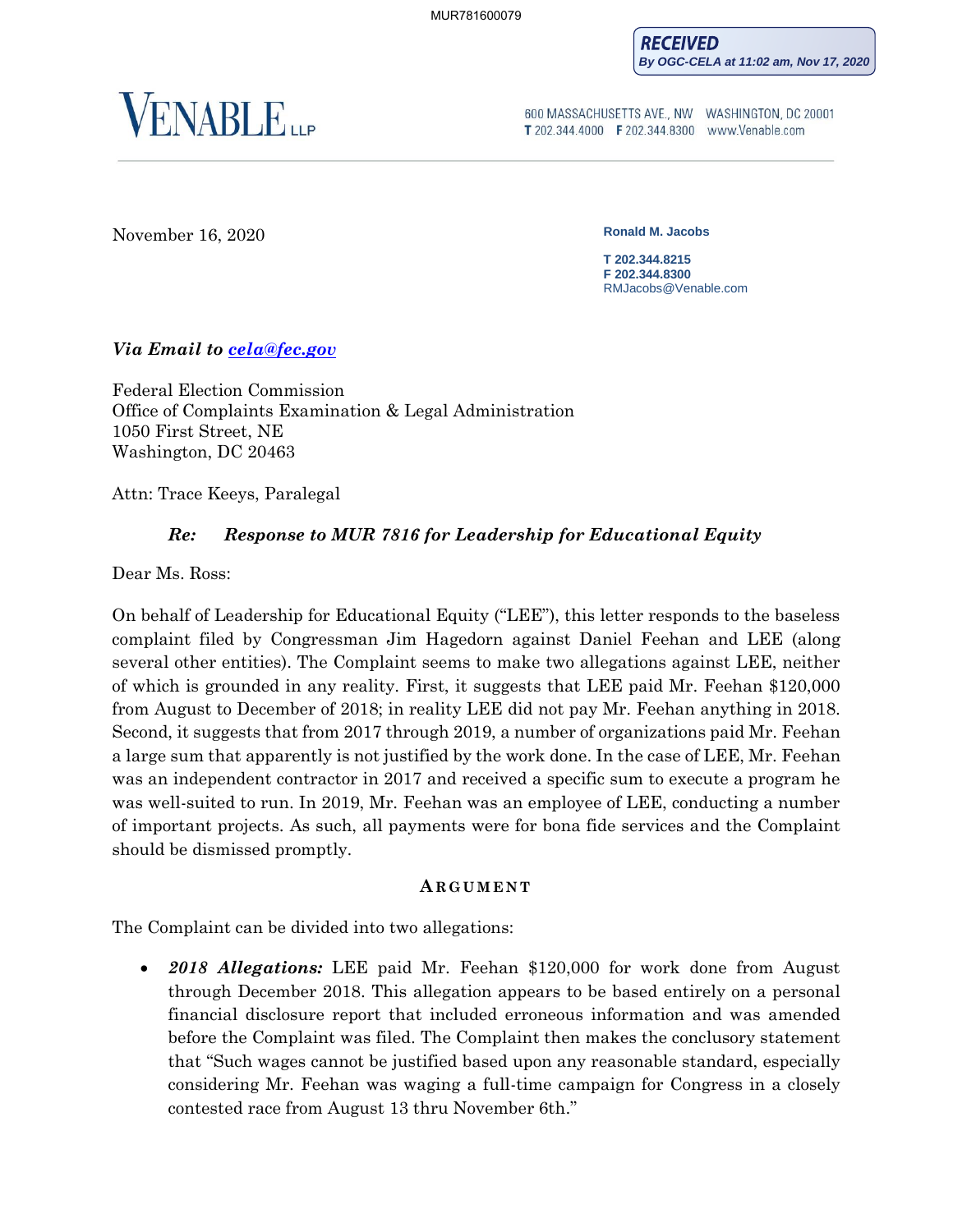**RECEIVED By OGC-CELA at 11:02 am, Nov 17, 2020**



600 MASSACHUSETTS AVE., NW WASHINGTON, DC 20001 T 202.344.4000 F 202.344.8300 www.Venable.com

November 16, 2020 **Ronald M. Jacobs** 

**T 202.344.8215 F 202.344.8300** RMJacobs@Venable.com

## *Via Email to [cela@fec.gov](mailto:cela@fec.gov)*

Federal Election Commission Office of Complaints Examination & Legal Administration 1050 First Street, NE Washington, DC 20463

Attn: Trace Keeys, Paralegal

# *Re: Response to MUR 7816 for Leadership for Educational Equity*

Dear Ms. Ross:

On behalf of Leadership for Educational Equity ("LEE"), this letter responds to the baseless complaint filed by Congressman Jim Hagedorn against Daniel Feehan and LEE (along several other entities). The Complaint seems to make two allegations against LEE, neither of which is grounded in any reality. First, it suggests that LEE paid Mr. Feehan \$120,000 from August to December of 2018; in reality LEE did not pay Mr. Feehan anything in 2018. Second, it suggests that from 2017 through 2019, a number of organizations paid Mr. Feehan a large sum that apparently is not justified by the work done. In the case of LEE, Mr. Feehan was an independent contractor in 2017 and received a specific sum to execute a program he was well-suited to run. In 2019, Mr. Feehan was an employee of LEE, conducting a number of important projects. As such, all payments were for bona fide services and the Complaint should be dismissed promptly.

### **A R G U M E N T**

The Complaint can be divided into two allegations:

• *2018 Allegations:* LEE paid Mr. Feehan \$120,000 for work done from August through December 2018. This allegation appears to be based entirely on a personal financial disclosure report that included erroneous information and was amended before the Complaint was filed. The Complaint then makes the conclusory statement that "Such wages cannot be justified based upon any reasonable standard, especially considering Mr. Feehan was waging a full-time campaign for Congress in a closely contested race from August 13 thru November 6th."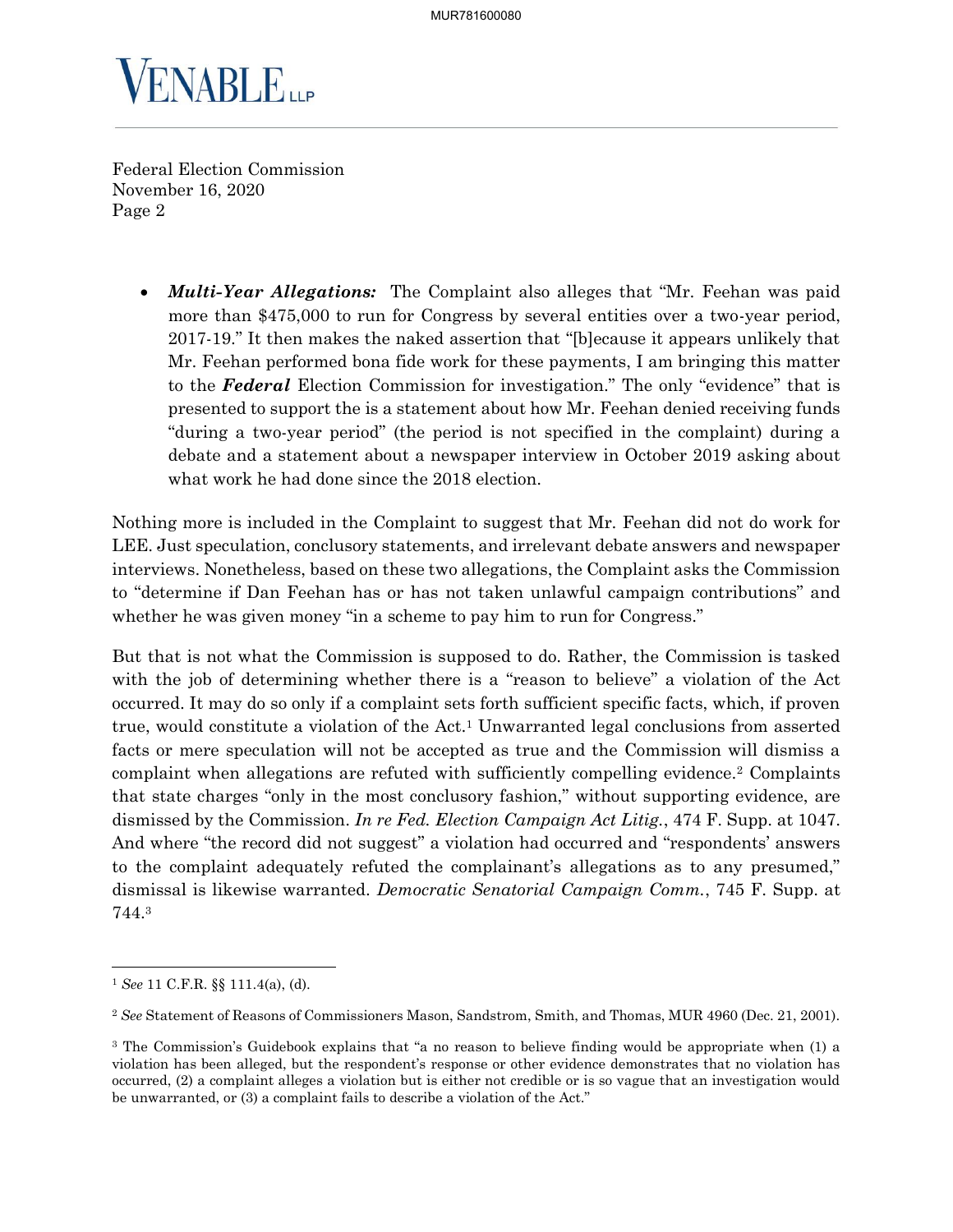

> • *Multi-Year Allegations:* The Complaint also alleges that "Mr. Feehan was paid more than \$475,000 to run for Congress by several entities over a two-year period, 2017-19." It then makes the naked assertion that "[b]ecause it appears unlikely that Mr. Feehan performed bona fide work for these payments, I am bringing this matter to the *Federal* Election Commission for investigation." The only "evidence" that is presented to support the is a statement about how Mr. Feehan denied receiving funds "during a two-year period" (the period is not specified in the complaint) during a debate and a statement about a newspaper interview in October 2019 asking about what work he had done since the 2018 election.

Nothing more is included in the Complaint to suggest that Mr. Feehan did not do work for LEE. Just speculation, conclusory statements, and irrelevant debate answers and newspaper interviews. Nonetheless, based on these two allegations, the Complaint asks the Commission to "determine if Dan Feehan has or has not taken unlawful campaign contributions" and whether he was given money "in a scheme to pay him to run for Congress."

But that is not what the Commission is supposed to do. Rather, the Commission is tasked with the job of determining whether there is a "reason to believe" a violation of the Act occurred. It may do so only if a complaint sets forth sufficient specific facts, which, if proven true, would constitute a violation of the  $Act.1$  Unwarranted legal conclusions from asserted facts or mere speculation will not be accepted as true and the Commission will dismiss a complaint when allegations are refuted with sufficiently compelling evidence.<sup>2</sup> Complaints that state charges "only in the most conclusory fashion," without supporting evidence, are dismissed by the Commission. *In re Fed. Election Campaign Act Litig.*, 474 F. Supp. at 1047. And where "the record did not suggest" a violation had occurred and "respondents' answers to the complaint adequately refuted the complainant's allegations as to any presumed," dismissal is likewise warranted. *Democratic Senatorial Campaign Comm.*, 745 F. Supp. at 744.<sup>3</sup>

<sup>1</sup> *See* 11 C.F.R. §§ 111.4(a), (d).

<sup>2</sup> *See* Statement of Reasons of Commissioners Mason, Sandstrom, Smith, and Thomas, MUR 4960 (Dec. 21, 2001).

<sup>3</sup> The Commission's Guidebook explains that "a no reason to believe finding would be appropriate when (1) a violation has been alleged, but the respondent's response or other evidence demonstrates that no violation has occurred, (2) a complaint alleges a violation but is either not credible or is so vague that an investigation would be unwarranted, or (3) a complaint fails to describe a violation of the Act."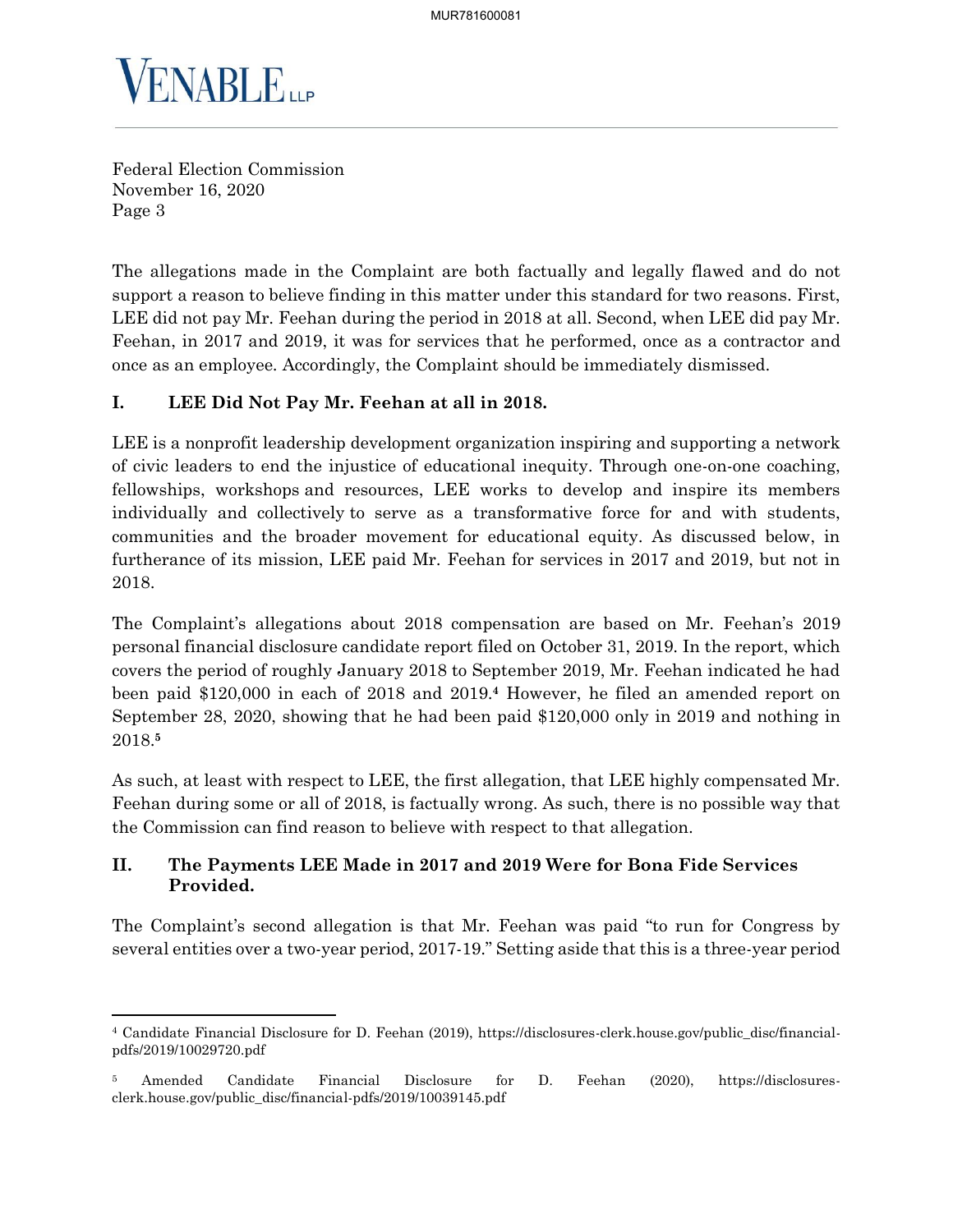

The allegations made in the Complaint are both factually and legally flawed and do not support a reason to believe finding in this matter under this standard for two reasons. First, LEE did not pay Mr. Feehan during the period in 2018 at all. Second, when LEE did pay Mr. Feehan, in 2017 and 2019, it was for services that he performed, once as a contractor and once as an employee. Accordingly, the Complaint should be immediately dismissed.

# **I. LEE Did Not Pay Mr. Feehan at all in 2018.**

LEE is a nonprofit leadership development organization inspiring and supporting a network of civic leaders to end the injustice of educational inequity. Through one-on-one coaching, fellowships, workshops and resources, LEE works to develop and inspire its members individually and collectively to serve as a transformative force for and with students, communities and the broader movement for educational equity. As discussed below, in furtherance of its mission, LEE paid Mr. Feehan for services in 2017 and 2019, but not in 2018.

The Complaint's allegations about 2018 compensation are based on Mr. Feehan's 2019 personal financial disclosure candidate report filed on October 31, 2019. In the report, which covers the period of roughly January 2018 to September 2019, Mr. Feehan indicated he had been paid \$120,000 in each of 2018 and 2019.**<sup>4</sup>** However, he filed an amended report on September 28, 2020, showing that he had been paid \$120,000 only in 2019 and nothing in 2018.**<sup>5</sup>**

As such, at least with respect to LEE, the first allegation, that LEE highly compensated Mr. Feehan during some or all of 2018, is factually wrong. As such, there is no possible way that the Commission can find reason to believe with respect to that allegation.

## **II. The Payments LEE Made in 2017 and 2019 Were for Bona Fide Services Provided.**

The Complaint's second allegation is that Mr. Feehan was paid "to run for Congress by several entities over a two-year period, 2017-19." Setting aside that this is a three-year period

<sup>4</sup> Candidate Financial Disclosure for D. Feehan (2019), https://disclosures-clerk.house.gov/public\_disc/financialpdfs/2019/10029720.pdf

<sup>5</sup> Amended Candidate Financial Disclosure for D. Feehan (2020), https://disclosuresclerk.house.gov/public\_disc/financial-pdfs/2019/10039145.pdf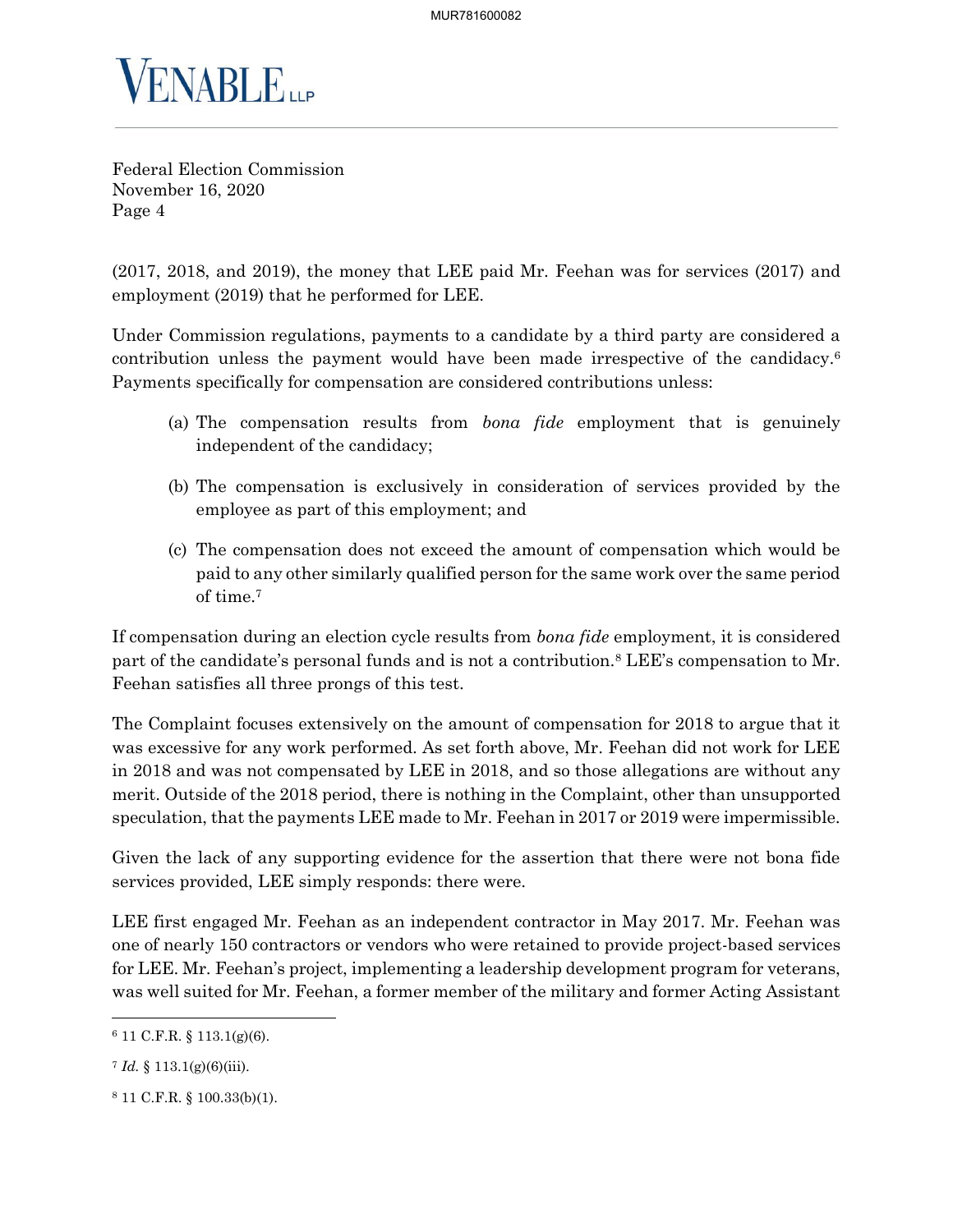

(2017, 2018, and 2019), the money that LEE paid Mr. Feehan was for services (2017) and employment (2019) that he performed for LEE.

Under Commission regulations, payments to a candidate by a third party are considered a contribution unless the payment would have been made irrespective of the candidacy.<sup>6</sup> Payments specifically for compensation are considered contributions unless:

- (a) The compensation results from *bona fide* employment that is genuinely independent of the candidacy;
- (b) The compensation is exclusively in consideration of services provided by the employee as part of this employment; and
- (c) The compensation does not exceed the amount of compensation which would be paid to any other similarly qualified person for the same work over the same period of time.<sup>7</sup>

If compensation during an election cycle results from *bona fide* employment, it is considered part of the candidate's personal funds and is not a contribution.<sup>8</sup> LEE's compensation to Mr. Feehan satisfies all three prongs of this test.

The Complaint focuses extensively on the amount of compensation for 2018 to argue that it was excessive for any work performed. As set forth above, Mr. Feehan did not work for LEE in 2018 and was not compensated by LEE in 2018, and so those allegations are without any merit. Outside of the 2018 period, there is nothing in the Complaint, other than unsupported speculation, that the payments LEE made to Mr. Feehan in 2017 or 2019 were impermissible.

Given the lack of any supporting evidence for the assertion that there were not bona fide services provided, LEE simply responds: there were.

LEE first engaged Mr. Feehan as an independent contractor in May 2017. Mr. Feehan was one of nearly 150 contractors or vendors who were retained to provide project-based services for LEE. Mr. Feehan's project, implementing a leadership development program for veterans, was well suited for Mr. Feehan, a former member of the military and former Acting Assistant

<sup>6</sup> 11 C.F.R. § 113.1(g)(6).

 $7 \text{ Id. } \S$  113.1(g)(6)(iii).

<sup>8</sup> 11 C.F.R. § 100.33(b)(1).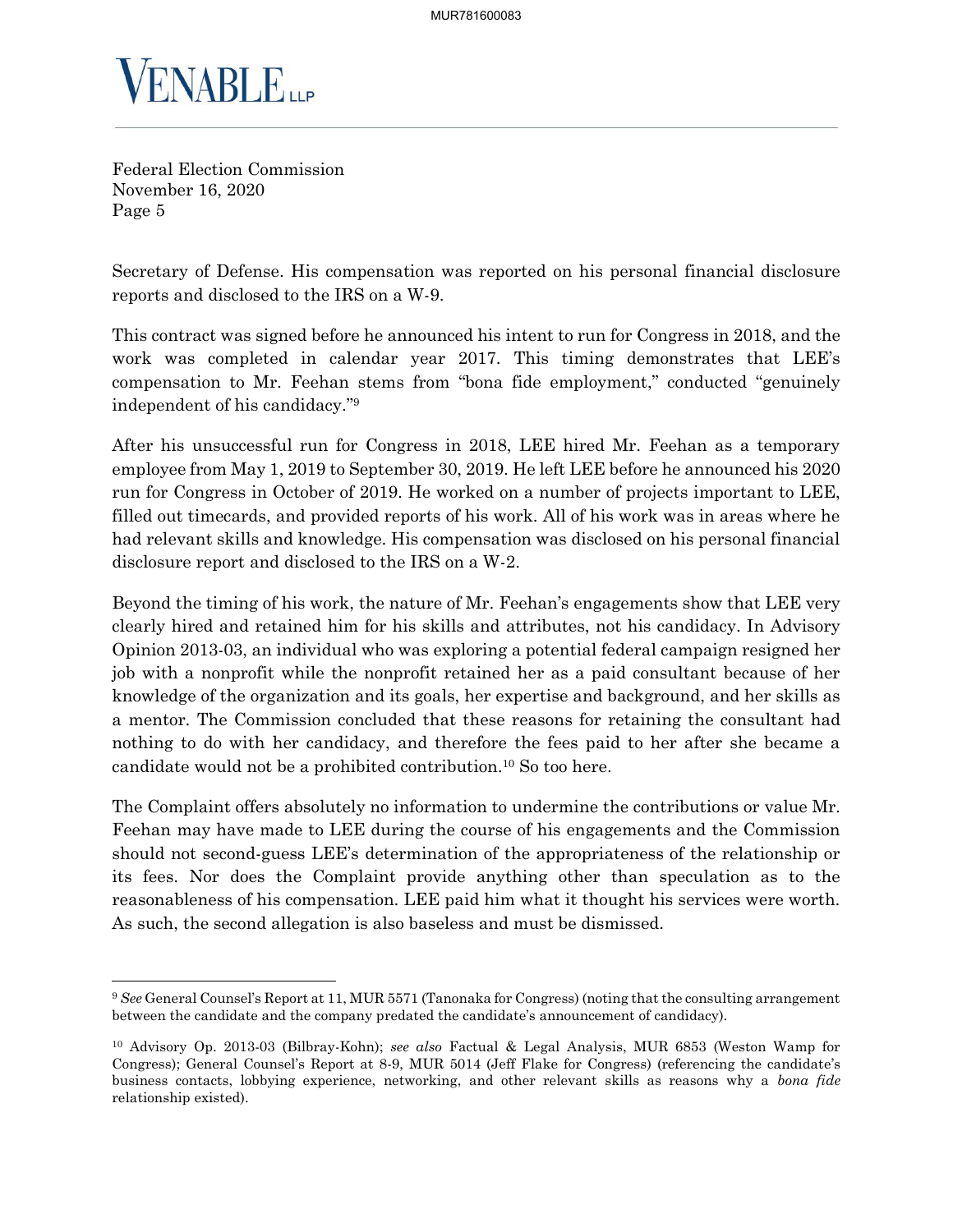

Secretary of Defense. His compensation was reported on his personal financial disclosure reports and disclosed to the IRS on a W-9.

This contract was signed before he announced his intent to run for Congress in 2018, and the work was completed in calendar year 2017. This timing demonstrates that LEE's compensation to Mr. Feehan stems from "bona fide employment," conducted "genuinely independent of his candidacy."<sup>9</sup>

After his unsuccessful run for Congress in 2018, LEE hired Mr. Feehan as a temporary employee from May 1, 2019 to September 30, 2019. He left LEE before he announced his 2020 run for Congress in October of 2019. He worked on a number of projects important to LEE, filled out timecards, and provided reports of his work. All of his work was in areas where he had relevant skills and knowledge. His compensation was disclosed on his personal financial disclosure report and disclosed to the IRS on a W-2.

Beyond the timing of his work, the nature of Mr. Feehan's engagements show that LEE very clearly hired and retained him for his skills and attributes, not his candidacy. In Advisory Opinion 2013-03, an individual who was exploring a potential federal campaign resigned her job with a nonprofit while the nonprofit retained her as a paid consultant because of her knowledge of the organization and its goals, her expertise and background, and her skills as a mentor. The Commission concluded that these reasons for retaining the consultant had nothing to do with her candidacy, and therefore the fees paid to her after she became a candidate would not be a prohibited contribution.<sup>10</sup> So too here.

The Complaint offers absolutely no information to undermine the contributions or value Mr. Feehan may have made to LEE during the course of his engagements and the Commission should not second-guess LEE's determination of the appropriateness of the relationship or its fees. Nor does the Complaint provide anything other than speculation as to the reasonableness of his compensation. LEE paid him what it thought his services were worth. As such, the second allegation is also baseless and must be dismissed.

<sup>9</sup> *See* General Counsel's Report at 11, MUR 5571 (Tanonaka for Congress) (noting that the consulting arrangement between the candidate and the company predated the candidate's announcement of candidacy).

<sup>10</sup> Advisory Op. 2013-03 (Bilbray-Kohn); *see also* Factual & Legal Analysis, MUR 6853 (Weston Wamp for Congress); General Counsel's Report at 8-9, MUR 5014 (Jeff Flake for Congress) (referencing the candidate's business contacts, lobbying experience, networking, and other relevant skills as reasons why a *bona fide*  relationship existed).